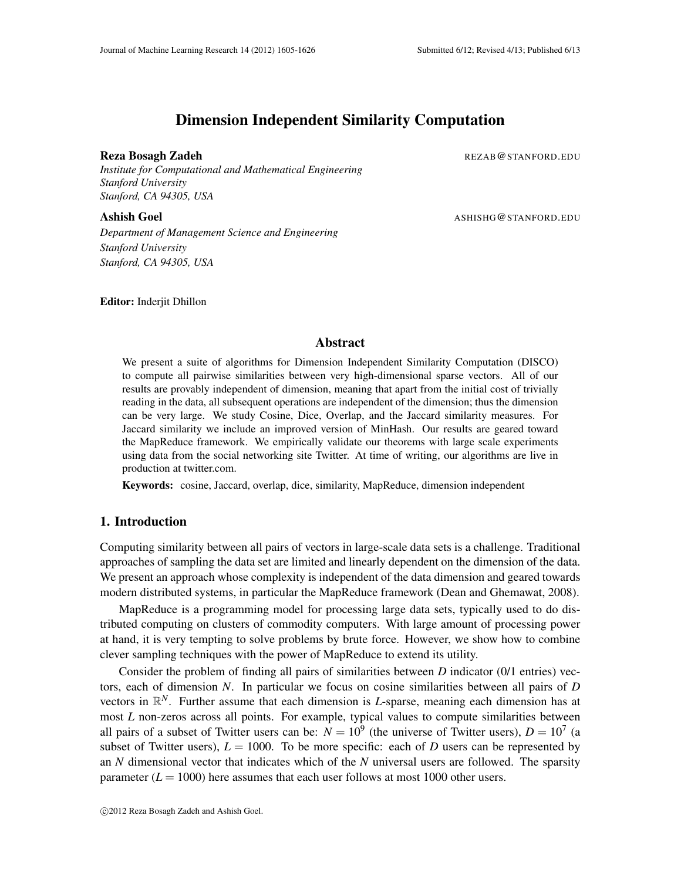# Dimension Independent Similarity Computation

#### **Reza Bosagh Zadeh Rezamin Adam Rezamin Rezamin Rezamin Rezamin Rezamin Rezamin Rezamin Rezamin Rezamin Rezamin**

*Institute for Computational and Mathematical Engineering Stanford University Stanford, CA 94305, USA*

**Ashish Goel Ashish** Goel ASHISHG@STANFORD.EDU

*Department of Management Science and Engineering Stanford University Stanford, CA 94305, USA*

Editor: Inderjit Dhillon

## Abstract

We present a suite of algorithms for Dimension Independent Similarity Computation (DISCO) to compute all pairwise similarities between very high-dimensional sparse vectors. All of our results are provably independent of dimension, meaning that apart from the initial cost of trivially reading in the data, all subsequent operations are independent of the dimension; thus the dimension can be very large. We study Cosine, Dice, Overlap, and the Jaccard similarity measures. For Jaccard similarity we include an improved version of MinHash. Our results are geared toward the MapReduce framework. We empirically validate our theorems with large scale experiments using data from the social networking site Twitter. At time of writing, our algorithms are live in production at twitter.com.

Keywords: cosine, Jaccard, overlap, dice, similarity, MapReduce, dimension independent

## 1. Introduction

Computing similarity between all pairs of vectors in large-scale data sets is a challenge. Traditional approaches of sampling the data set are limited and linearly dependent on the dimension of the data. We present an approach whose complexity is independent of the data dimension and geared towards modern distributed systems, in particular the MapReduce framework (Dean and Ghemawat, 2008).

MapReduce is a programming model for processing large data sets, typically used to do distributed computing on clusters of commodity computers. With large amount of processing power at hand, it is very tempting to solve problems by brute force. However, we show how to combine clever sampling techniques with the power of MapReduce to extend its utility.

Consider the problem of finding all pairs of similarities between *D* indicator (0/1 entries) vectors, each of dimension *N*. In particular we focus on cosine similarities between all pairs of *D* vectors in R *<sup>N</sup>*. Further assume that each dimension is *L*-sparse, meaning each dimension has at most *L* non-zeros across all points. For example, typical values to compute similarities between all pairs of a subset of Twitter users can be:  $N = 10^9$  (the universe of Twitter users),  $D = 10^7$  (a subset of Twitter users),  $L = 1000$ . To be more specific: each of *D* users can be represented by an *N* dimensional vector that indicates which of the *N* universal users are followed. The sparsity parameter  $(L = 1000)$  here assumes that each user follows at most 1000 other users.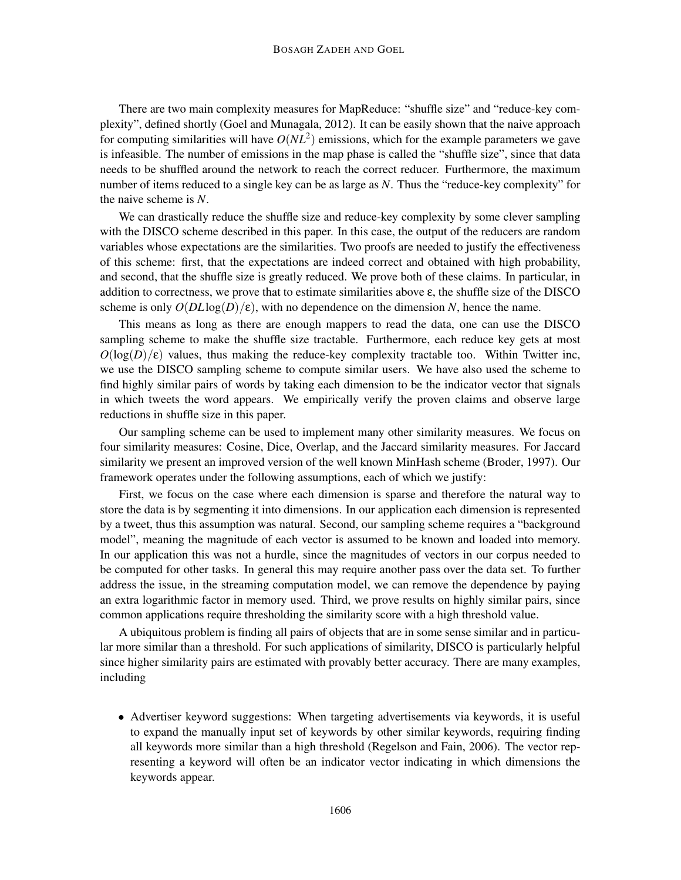There are two main complexity measures for MapReduce: "shuffle size" and "reduce-key complexity", defined shortly (Goel and Munagala, 2012). It can be easily shown that the naive approach for computing similarities will have  $O(NL^2)$  emissions, which for the example parameters we gave is infeasible. The number of emissions in the map phase is called the "shuffle size", since that data needs to be shuffled around the network to reach the correct reducer. Furthermore, the maximum number of items reduced to a single key can be as large as *N*. Thus the "reduce-key complexity" for the naive scheme is *N*.

We can drastically reduce the shuffle size and reduce-key complexity by some clever sampling with the DISCO scheme described in this paper. In this case, the output of the reducers are random variables whose expectations are the similarities. Two proofs are needed to justify the effectiveness of this scheme: first, that the expectations are indeed correct and obtained with high probability, and second, that the shuffle size is greatly reduced. We prove both of these claims. In particular, in addition to correctness, we prove that to estimate similarities above  $\varepsilon$ , the shuffle size of the DISCO scheme is only  $O(DL \log(D)/\epsilon)$ , with no dependence on the dimension N, hence the name.

This means as long as there are enough mappers to read the data, one can use the DISCO sampling scheme to make the shuffle size tractable. Furthermore, each reduce key gets at most  $O(\log(D)/\epsilon)$  values, thus making the reduce-key complexity tractable too. Within Twitter inc, we use the DISCO sampling scheme to compute similar users. We have also used the scheme to find highly similar pairs of words by taking each dimension to be the indicator vector that signals in which tweets the word appears. We empirically verify the proven claims and observe large reductions in shuffle size in this paper.

Our sampling scheme can be used to implement many other similarity measures. We focus on four similarity measures: Cosine, Dice, Overlap, and the Jaccard similarity measures. For Jaccard similarity we present an improved version of the well known MinHash scheme (Broder, 1997). Our framework operates under the following assumptions, each of which we justify:

First, we focus on the case where each dimension is sparse and therefore the natural way to store the data is by segmenting it into dimensions. In our application each dimension is represented by a tweet, thus this assumption was natural. Second, our sampling scheme requires a "background model", meaning the magnitude of each vector is assumed to be known and loaded into memory. In our application this was not a hurdle, since the magnitudes of vectors in our corpus needed to be computed for other tasks. In general this may require another pass over the data set. To further address the issue, in the streaming computation model, we can remove the dependence by paying an extra logarithmic factor in memory used. Third, we prove results on highly similar pairs, since common applications require thresholding the similarity score with a high threshold value.

A ubiquitous problem is finding all pairs of objects that are in some sense similar and in particular more similar than a threshold. For such applications of similarity, DISCO is particularly helpful since higher similarity pairs are estimated with provably better accuracy. There are many examples, including

• Advertiser keyword suggestions: When targeting advertisements via keywords, it is useful to expand the manually input set of keywords by other similar keywords, requiring finding all keywords more similar than a high threshold (Regelson and Fain, 2006). The vector representing a keyword will often be an indicator vector indicating in which dimensions the keywords appear.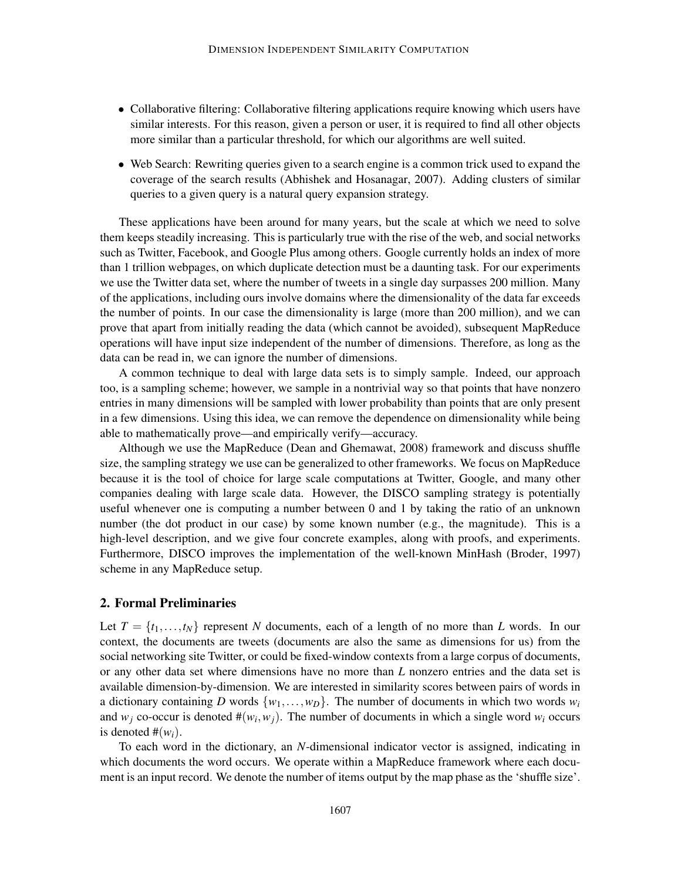- Collaborative filtering: Collaborative filtering applications require knowing which users have similar interests. For this reason, given a person or user, it is required to find all other objects more similar than a particular threshold, for which our algorithms are well suited.
- Web Search: Rewriting queries given to a search engine is a common trick used to expand the coverage of the search results (Abhishek and Hosanagar, 2007). Adding clusters of similar queries to a given query is a natural query expansion strategy.

These applications have been around for many years, but the scale at which we need to solve them keeps steadily increasing. This is particularly true with the rise of the web, and social networks such as Twitter, Facebook, and Google Plus among others. Google currently holds an index of more than 1 trillion webpages, on which duplicate detection must be a daunting task. For our experiments we use the Twitter data set, where the number of tweets in a single day surpasses 200 million. Many of the applications, including ours involve domains where the dimensionality of the data far exceeds the number of points. In our case the dimensionality is large (more than 200 million), and we can prove that apart from initially reading the data (which cannot be avoided), subsequent MapReduce operations will have input size independent of the number of dimensions. Therefore, as long as the data can be read in, we can ignore the number of dimensions.

A common technique to deal with large data sets is to simply sample. Indeed, our approach too, is a sampling scheme; however, we sample in a nontrivial way so that points that have nonzero entries in many dimensions will be sampled with lower probability than points that are only present in a few dimensions. Using this idea, we can remove the dependence on dimensionality while being able to mathematically prove—and empirically verify—accuracy.

Although we use the MapReduce (Dean and Ghemawat, 2008) framework and discuss shuffle size, the sampling strategy we use can be generalized to other frameworks. We focus on MapReduce because it is the tool of choice for large scale computations at Twitter, Google, and many other companies dealing with large scale data. However, the DISCO sampling strategy is potentially useful whenever one is computing a number between 0 and 1 by taking the ratio of an unknown number (the dot product in our case) by some known number (e.g., the magnitude). This is a high-level description, and we give four concrete examples, along with proofs, and experiments. Furthermore, DISCO improves the implementation of the well-known MinHash (Broder, 1997) scheme in any MapReduce setup.

#### 2. Formal Preliminaries

Let  $T = \{t_1, \ldots, t_N\}$  represent *N* documents, each of a length of no more than *L* words. In our context, the documents are tweets (documents are also the same as dimensions for us) from the social networking site Twitter, or could be fixed-window contexts from a large corpus of documents, or any other data set where dimensions have no more than *L* nonzero entries and the data set is available dimension-by-dimension. We are interested in similarity scores between pairs of words in a dictionary containing *D* words  $\{w_1, \ldots, w_D\}$ . The number of documents in which two words  $w_i$ and  $w_j$  co-occur is denoted  $\#(w_i, w_j)$ . The number of documents in which a single word  $w_i$  occurs is denoted  $#(w_i)$ .

To each word in the dictionary, an *N*-dimensional indicator vector is assigned, indicating in which documents the word occurs. We operate within a MapReduce framework where each document is an input record. We denote the number of items output by the map phase as the 'shuffle size'.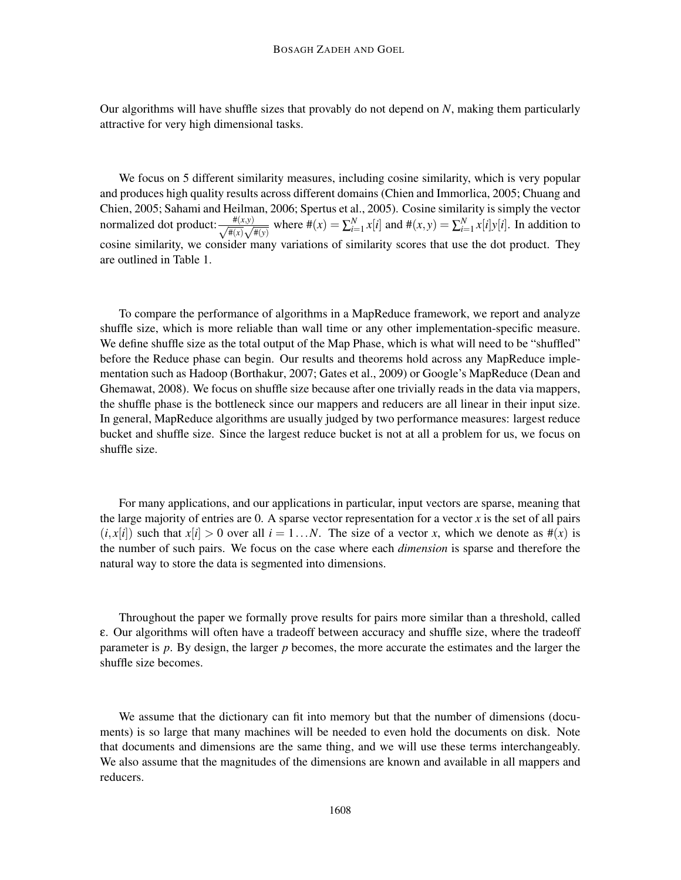Our algorithms will have shuffle sizes that provably do not depend on *N*, making them particularly attractive for very high dimensional tasks.

We focus on 5 different similarity measures, including cosine similarity, which is very popular and produces high quality results across different domains (Chien and Immorlica, 2005; Chuang and Chien, 2005; Sahami and Heilman, 2006; Spertus et al., 2005). Cosine similarity is simply the vector normalized dot product:  $\frac{\#(x,y)}{\sqrt{\#(x)}$  $\frac{\#(x,y)}{\#(x)\sqrt{\#(y)}}$  where  $\#(x) = \sum_{i=1}^{N} x[i]$  and  $\#(x,y) = \sum_{i=1}^{N} x[i]y[i]$ . In addition to cosine similarity, we consider many variations of similarity scores that use the dot product. They are outlined in Table 1.

To compare the performance of algorithms in a MapReduce framework, we report and analyze shuffle size, which is more reliable than wall time or any other implementation-specific measure. We define shuffle size as the total output of the Map Phase, which is what will need to be "shuffled" before the Reduce phase can begin. Our results and theorems hold across any MapReduce implementation such as Hadoop (Borthakur, 2007; Gates et al., 2009) or Google's MapReduce (Dean and Ghemawat, 2008). We focus on shuffle size because after one trivially reads in the data via mappers, the shuffle phase is the bottleneck since our mappers and reducers are all linear in their input size. In general, MapReduce algorithms are usually judged by two performance measures: largest reduce bucket and shuffle size. Since the largest reduce bucket is not at all a problem for us, we focus on shuffle size.

For many applications, and our applications in particular, input vectors are sparse, meaning that the large majority of entries are 0. A sparse vector representation for a vector *x* is the set of all pairs  $(i, x[i])$  such that  $x[i] > 0$  over all  $i = 1...N$ . The size of a vector *x*, which we denote as  $\#(x)$  is the number of such pairs. We focus on the case where each *dimension* is sparse and therefore the natural way to store the data is segmented into dimensions.

Throughout the paper we formally prove results for pairs more similar than a threshold, called ε. Our algorithms will often have a tradeoff between accuracy and shuffle size, where the tradeoff parameter is *p*. By design, the larger *p* becomes, the more accurate the estimates and the larger the shuffle size becomes.

We assume that the dictionary can fit into memory but that the number of dimensions (documents) is so large that many machines will be needed to even hold the documents on disk. Note that documents and dimensions are the same thing, and we will use these terms interchangeably. We also assume that the magnitudes of the dimensions are known and available in all mappers and reducers.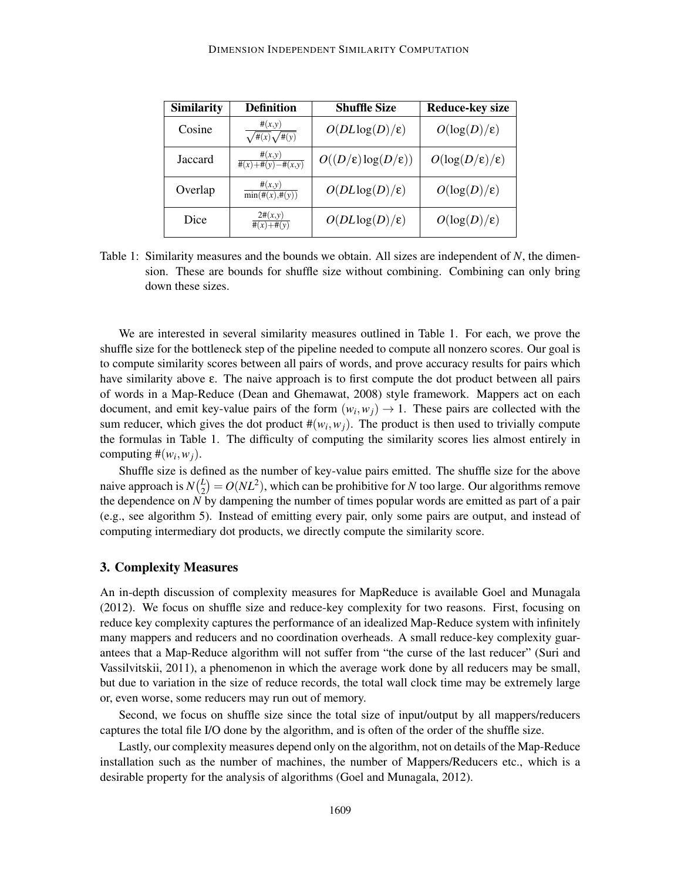| <b>Similarity</b> | <b>Definition</b>                          | <b>Shuffle Size</b>                      | <b>Reduce-key size</b>         |
|-------------------|--------------------------------------------|------------------------------------------|--------------------------------|
| Cosine            | #(x,y)<br>$\sqrt{\pi(x)}\sqrt{\pi(y)}$     | $O(DL \log(D)/\epsilon)$                 | $O(\log(D)/\epsilon)$          |
| Jaccard           | #(x,y)<br>$\overline{\#(x)+\#(y)-\#(x,y)}$ | $O((D/\varepsilon) \log(D/\varepsilon))$ | $O(\log(D/\epsilon)/\epsilon)$ |
| Overlap           | #(x,y)<br>$\overline{\min(\#(x),\#(y)})$   | $O(DL \log(D)/\epsilon)$                 | $O(\log(D)/\epsilon)$          |
| Dice              | $2\#(x,y)$<br>$\#(x)+\#(y)$                | $O(DL \log(D)/\epsilon)$                 | $O(\log(D)/\epsilon)$          |

Table 1: Similarity measures and the bounds we obtain. All sizes are independent of *N*, the dimension. These are bounds for shuffle size without combining. Combining can only bring down these sizes.

We are interested in several similarity measures outlined in Table 1. For each, we prove the shuffle size for the bottleneck step of the pipeline needed to compute all nonzero scores. Our goal is to compute similarity scores between all pairs of words, and prove accuracy results for pairs which have similarity above ε. The naive approach is to first compute the dot product between all pairs of words in a Map-Reduce (Dean and Ghemawat, 2008) style framework. Mappers act on each document, and emit key-value pairs of the form  $(w_i, w_j) \rightarrow 1$ . These pairs are collected with the sum reducer, which gives the dot product  $\#(w_i, w_j)$ . The product is then used to trivially compute the formulas in Table 1. The difficulty of computing the similarity scores lies almost entirely in computing  $\#(w_i, w_j)$ .

Shuffle size is defined as the number of key-value pairs emitted. The shuffle size for the above naive approach is  $N\binom{L}{2}$  $\mathcal{L}_2^L$  =  $O(NL^2)$ , which can be prohibitive for *N* too large. Our algorithms remove the dependence on *N* by dampening the number of times popular words are emitted as part of a pair (e.g., see algorithm 5). Instead of emitting every pair, only some pairs are output, and instead of computing intermediary dot products, we directly compute the similarity score.

## 3. Complexity Measures

An in-depth discussion of complexity measures for MapReduce is available Goel and Munagala (2012). We focus on shuffle size and reduce-key complexity for two reasons. First, focusing on reduce key complexity captures the performance of an idealized Map-Reduce system with infinitely many mappers and reducers and no coordination overheads. A small reduce-key complexity guarantees that a Map-Reduce algorithm will not suffer from "the curse of the last reducer" (Suri and Vassilvitskii, 2011), a phenomenon in which the average work done by all reducers may be small, but due to variation in the size of reduce records, the total wall clock time may be extremely large or, even worse, some reducers may run out of memory.

Second, we focus on shuffle size since the total size of input/output by all mappers/reducers captures the total file I/O done by the algorithm, and is often of the order of the shuffle size.

Lastly, our complexity measures depend only on the algorithm, not on details of the Map-Reduce installation such as the number of machines, the number of Mappers/Reducers etc., which is a desirable property for the analysis of algorithms (Goel and Munagala, 2012).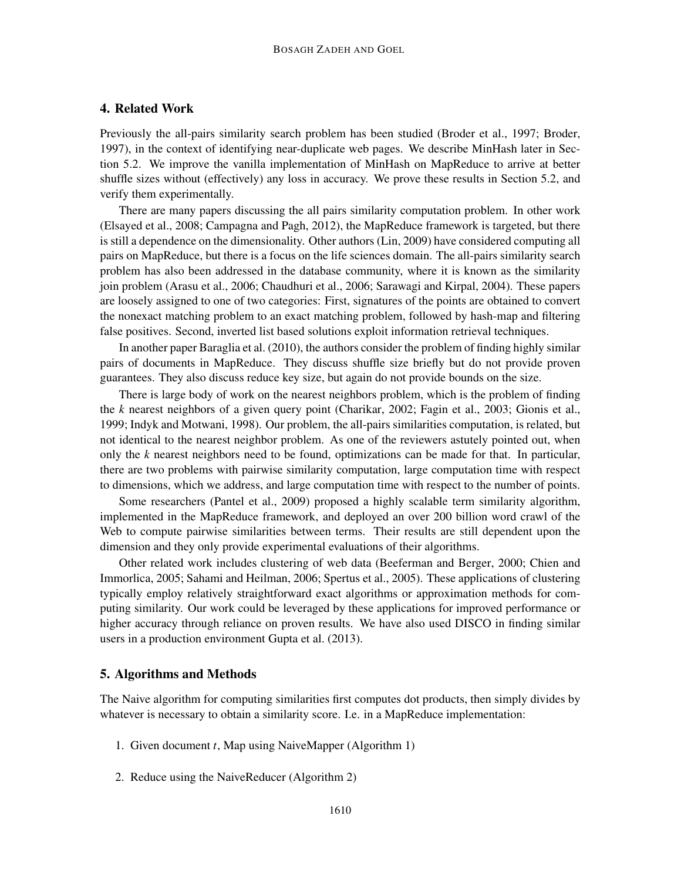## 4. Related Work

Previously the all-pairs similarity search problem has been studied (Broder et al., 1997; Broder, 1997), in the context of identifying near-duplicate web pages. We describe MinHash later in Section 5.2. We improve the vanilla implementation of MinHash on MapReduce to arrive at better shuffle sizes without (effectively) any loss in accuracy. We prove these results in Section 5.2, and verify them experimentally.

There are many papers discussing the all pairs similarity computation problem. In other work (Elsayed et al., 2008; Campagna and Pagh, 2012), the MapReduce framework is targeted, but there is still a dependence on the dimensionality. Other authors (Lin, 2009) have considered computing all pairs on MapReduce, but there is a focus on the life sciences domain. The all-pairs similarity search problem has also been addressed in the database community, where it is known as the similarity join problem (Arasu et al., 2006; Chaudhuri et al., 2006; Sarawagi and Kirpal, 2004). These papers are loosely assigned to one of two categories: First, signatures of the points are obtained to convert the nonexact matching problem to an exact matching problem, followed by hash-map and filtering false positives. Second, inverted list based solutions exploit information retrieval techniques.

In another paper Baraglia et al. (2010), the authors consider the problem of finding highly similar pairs of documents in MapReduce. They discuss shuffle size briefly but do not provide proven guarantees. They also discuss reduce key size, but again do not provide bounds on the size.

There is large body of work on the nearest neighbors problem, which is the problem of finding the *k* nearest neighbors of a given query point (Charikar, 2002; Fagin et al., 2003; Gionis et al., 1999; Indyk and Motwani, 1998). Our problem, the all-pairs similarities computation, is related, but not identical to the nearest neighbor problem. As one of the reviewers astutely pointed out, when only the *k* nearest neighbors need to be found, optimizations can be made for that. In particular, there are two problems with pairwise similarity computation, large computation time with respect to dimensions, which we address, and large computation time with respect to the number of points.

Some researchers (Pantel et al., 2009) proposed a highly scalable term similarity algorithm, implemented in the MapReduce framework, and deployed an over 200 billion word crawl of the Web to compute pairwise similarities between terms. Their results are still dependent upon the dimension and they only provide experimental evaluations of their algorithms.

Other related work includes clustering of web data (Beeferman and Berger, 2000; Chien and Immorlica, 2005; Sahami and Heilman, 2006; Spertus et al., 2005). These applications of clustering typically employ relatively straightforward exact algorithms or approximation methods for computing similarity. Our work could be leveraged by these applications for improved performance or higher accuracy through reliance on proven results. We have also used DISCO in finding similar users in a production environment Gupta et al. (2013).

## 5. Algorithms and Methods

The Naive algorithm for computing similarities first computes dot products, then simply divides by whatever is necessary to obtain a similarity score. I.e. in a MapReduce implementation:

- 1. Given document *t*, Map using NaiveMapper (Algorithm 1)
- 2. Reduce using the NaiveReducer (Algorithm 2)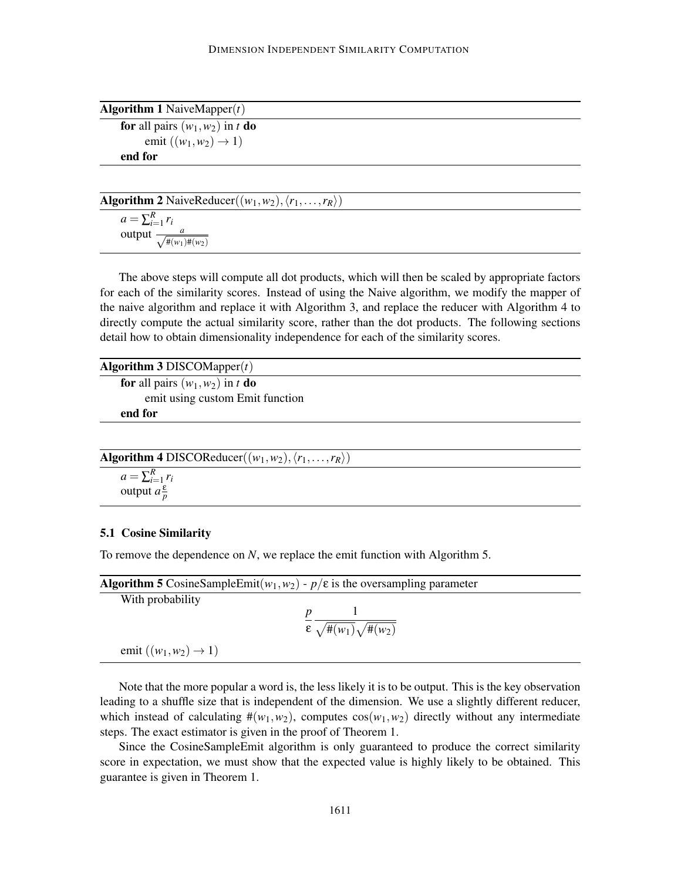| <b>Algorithm 1</b> NaiveMapper $(t)$ |
|--------------------------------------|
| for all pairs $(w_1, w_2)$ in t do   |
| emit $((w_1, w_2) \rightarrow 1)$    |
| end for                              |

| <b>Algorithm 2</b> NaiveReducer( $(w_1, w_2), \langle r_1, \ldots, r_R \rangle$ ) |  |  |  |
|-----------------------------------------------------------------------------------|--|--|--|
|                                                                                   |  |  |  |

 $a = \sum_{i=1}^R r_i$ output  $\frac{a}{\sqrt{\pi(w_1)\pi(w_2)}}$ 

The above steps will compute all dot products, which will then be scaled by appropriate factors for each of the similarity scores. Instead of using the Naive algorithm, we modify the mapper of the naive algorithm and replace it with Algorithm 3, and replace the reducer with Algorithm 4 to directly compute the actual similarity score, rather than the dot products. The following sections detail how to obtain dimensionality independence for each of the similarity scores.

Algorithm 3 DISCOMapper(*t*)

for all pairs  $(w_1, w_2)$  in *t* do emit using custom Emit function end for

| Algorithm 4 DISCOReducer $((w_1, w_2), (r_1, \ldots, r_R))$ |  |  |  |  |
|-------------------------------------------------------------|--|--|--|--|
|                                                             |  |  |  |  |

$$
a = \sum_{i=1}^{R} r_i
$$
  
output  $a \frac{\varepsilon}{p}$ 

#### 5.1 Cosine Similarity

To remove the dependence on *N*, we replace the emit function with Algorithm 5.

|                                   | <b>Algorithm 5</b> CosineSampleEmit( $w_1, w_2$ ) - $p/\varepsilon$ is the oversampling parameter |  |
|-----------------------------------|---------------------------------------------------------------------------------------------------|--|
| With probability                  |                                                                                                   |  |
|                                   | $\mathcal{E}\sqrt{\#(w_1)}\sqrt{\#(w_2)}$                                                         |  |
| emit $((w_1, w_2) \rightarrow 1)$ |                                                                                                   |  |
|                                   |                                                                                                   |  |

Note that the more popular a word is, the less likely it is to be output. This is the key observation leading to a shuffle size that is independent of the dimension. We use a slightly different reducer, which instead of calculating  $\#(w_1, w_2)$ , computes  $\cos(w_1, w_2)$  directly without any intermediate steps. The exact estimator is given in the proof of Theorem 1.

Since the CosineSampleEmit algorithm is only guaranteed to produce the correct similarity score in expectation, we must show that the expected value is highly likely to be obtained. This guarantee is given in Theorem 1.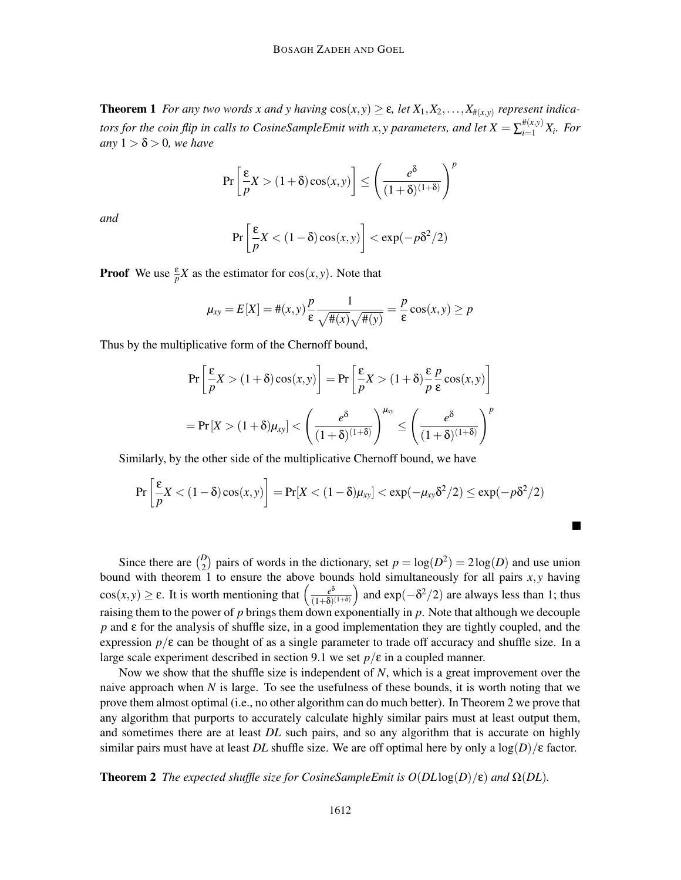**Theorem 1** *For any two words x and y having*  $cos(x, y) \ge \varepsilon$ , *let*  $X_1, X_2, \ldots, X_{\#(x,y)}$  *represent indicators for the coin flip in calls to CosineSampleEmit with x,y parameters, and let*  $X = \sum_{i=1}^{\#(x,y)} X_i$ *. For*  $anv 1 > \delta > 0$ , we have

$$
\Pr\left[\frac{\varepsilon}{p}X > (1+\delta)\cos(x,y)\right] \le \left(\frac{e^{\delta}}{(1+\delta)^{(1+\delta)}}\right)^p
$$

*and*

$$
\Pr\left[\frac{\varepsilon}{p}X < (1-\delta)\cos(x,y)\right] < \exp(-p\delta^2/2)
$$

**Proof** We use  $\frac{\varepsilon}{p}X$  as the estimator for  $\cos(x, y)$ . Note that

$$
\mu_{xy} = E[X] = \#(x, y) \frac{p}{\varepsilon} \frac{1}{\sqrt{\#(x)}\sqrt{\#(y)}} = \frac{p}{\varepsilon} \cos(x, y) \ge p
$$

Thus by the multiplicative form of the Chernoff bound,

$$
\Pr\left[\frac{\varepsilon}{p}X > (1+\delta)\cos(x,y)\right] = \Pr\left[\frac{\varepsilon}{p}X > (1+\delta)\frac{\varepsilon}{p}\frac{p}{\varepsilon}\cos(x,y)\right]
$$

$$
= \Pr\left[X > (1+\delta)\mu_{xy}\right] < \left(\frac{e^{\delta}}{(1+\delta)^{(1+\delta)}}\right)^{\mu_{xy}} \le \left(\frac{e^{\delta}}{(1+\delta)^{(1+\delta)}}\right)^p
$$

Similarly, by the other side of the multiplicative Chernoff bound, we have

$$
\Pr\left[\frac{\varepsilon}{p}X < (1-\delta)\cos(x,y)\right] = \Pr[X < (1-\delta)\mu_{xy}] < \exp(-\mu_{xy}\delta^2/2) \le \exp(-p\delta^2/2)
$$

П

Since there are  $\binom{D}{2}$  pairs of words in the dictionary, set  $p = \log(D^2) = 2\log(D)$  and use union bound with theorem 1 to ensure the above bounds hold simultaneously for all pairs  $x, y$  having cos(*x*, *y*)  $\geq \varepsilon$ . It is worth mentioning that  $\left(\frac{e^{\delta}}{(1+\delta)}\right)$  $\frac{e^{\delta}}{(1+\delta)^{(1+\delta)}}$  and exp( $-\delta^2/2$ ) are always less than 1; thus raising them to the power of p brings them down exponentially in p. Note that although we decouple *p* and ε for the analysis of shuffle size, in a good implementation they are tightly coupled, and the expression  $p/\varepsilon$  can be thought of as a single parameter to trade off accuracy and shuffle size. In a large scale experiment described in section 9.1 we set  $p/\varepsilon$  in a coupled manner.

Now we show that the shuffle size is independent of *N*, which is a great improvement over the naive approach when *N* is large. To see the usefulness of these bounds, it is worth noting that we prove them almost optimal (i.e., no other algorithm can do much better). In Theorem 2 we prove that any algorithm that purports to accurately calculate highly similar pairs must at least output them, and sometimes there are at least *DL* such pairs, and so any algorithm that is accurate on highly similar pairs must have at least *DL* shuffle size. We are off optimal here by only a  $\log(D)/\epsilon$  factor.

**Theorem 2** *The expected shuffle size for CosineSampleEmit is*  $O(DL\log(D)/\epsilon)$  *and*  $\Omega(DL)$ *.*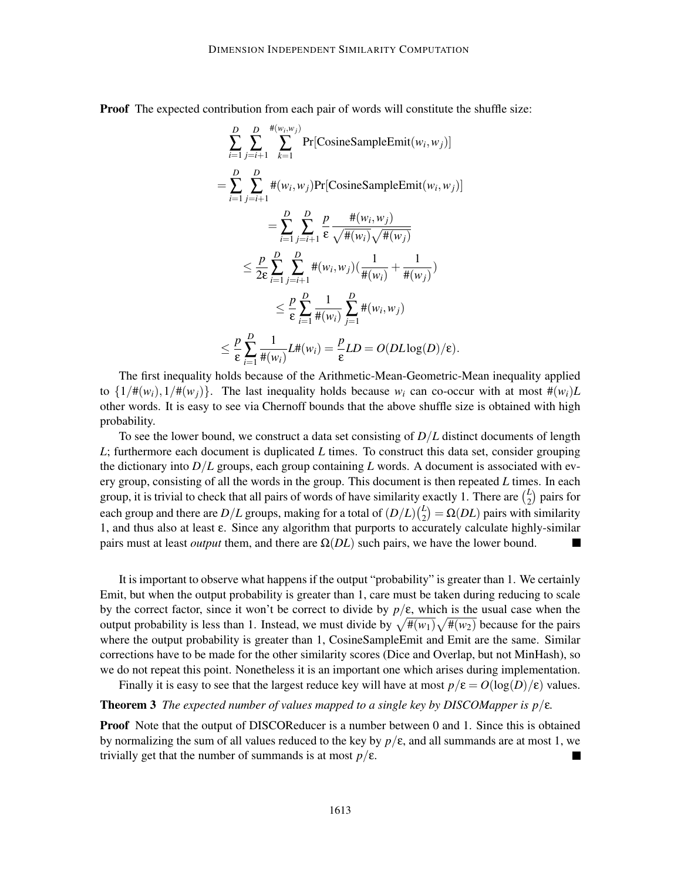Proof The expected contribution from each pair of words will constitute the shuffle size:

$$
\sum_{i=1}^{D} \sum_{j=i+1}^{H(w_i, w_j)} \Pr[\text{CosineSampleEnt}(w_i, w_j)]
$$
\n
$$
= \sum_{i=1}^{D} \sum_{j=i+1}^{D} \#(w_i, w_j) \Pr[\text{CosineSampleEnt}(w_i, w_j)]
$$
\n
$$
= \sum_{i=1}^{D} \sum_{j=i+1}^{D} \frac{p}{\epsilon} \frac{\#(w_i, w_j)}{\sqrt{\#(w_i)} \sqrt{\#(w_j)}}
$$
\n
$$
\leq \frac{p}{2\epsilon} \sum_{i=1}^{D} \sum_{j=i+1}^{D} \#(w_i, w_j) \left(\frac{1}{\#(w_i)} + \frac{1}{\#(w_j)}\right)
$$
\n
$$
\leq \frac{p}{\epsilon} \sum_{i=1}^{D} \frac{1}{\#(w_i)} \sum_{j=1}^{D} \#(w_i, w_j)
$$
\n
$$
\leq \frac{p}{\epsilon} \sum_{i=1}^{D} \frac{1}{\#(w_i)} L\#(w_i) = \frac{p}{\epsilon} LD = O(DL \log(D)/\epsilon).
$$

The first inequality holds because of the Arithmetic-Mean-Geometric-Mean inequality applied to  $\{1/\#(w_i), 1/\#(w_j)\}$ . The last inequality holds because  $w_i$  can co-occur with at most  $\#(w_i)L$ other words. It is easy to see via Chernoff bounds that the above shuffle size is obtained with high probability.

To see the lower bound, we construct a data set consisting of *D*/*L* distinct documents of length *L*; furthermore each document is duplicated *L* times. To construct this data set, consider grouping the dictionary into  $D/L$  groups, each group containing L words. A document is associated with every group, consisting of all the words in the group. This document is then repeated *L* times. In each group, it is trivial to check that all pairs of words of have similarity exactly 1. There are  $\binom{L}{2}$  $_2^2$ ) pairs for each group and there are  $D/L$  groups, making for a total of  $(D/L)$  $\Omega_{2}^{L}$ ) =  $\Omega(DL)$  pairs with similarity 1, and thus also at least ε. Since any algorithm that purports to accurately calculate highly-similar pairs must at least *output* them, and there are  $\Omega(DL)$  such pairs, we have the lower bound.

It is important to observe what happens if the output "probability" is greater than 1. We certainly Emit, but when the output probability is greater than 1, care must be taken during reducing to scale by the correct factor, since it won't be correct to divide by *p*/ε, which is the usual case when the output probability is less than 1. Instead, we must divide by  $\sqrt{\pi(w_1)}\sqrt{\pi(w_2)}$  because for the pairs where the output probability is greater than 1, CosineSampleEmit and Emit are the same. Similar corrections have to be made for the other similarity scores (Dice and Overlap, but not MinHash), so we do not repeat this point. Nonetheless it is an important one which arises during implementation.

Finally it is easy to see that the largest reduce key will have at most  $p/\varepsilon = O(\log(D)/\varepsilon)$  values.

#### **Theorem 3** *The expected number of values mapped to a single key by DISCOMapper is*  $p/\varepsilon$ *.*

**Proof** Note that the output of DISCOReducer is a number between 0 and 1. Since this is obtained by normalizing the sum of all values reduced to the key by  $p/\varepsilon$ , and all summands are at most 1, we trivially get that the number of summands is at most  $p/\varepsilon$ .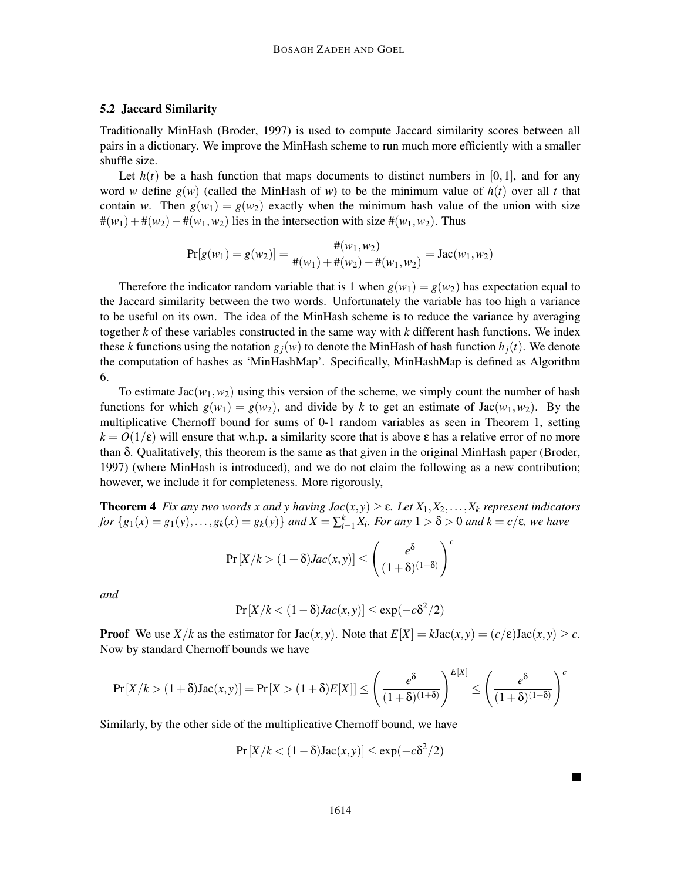## 5.2 Jaccard Similarity

Traditionally MinHash (Broder, 1997) is used to compute Jaccard similarity scores between all pairs in a dictionary. We improve the MinHash scheme to run much more efficiently with a smaller shuffle size.

Let  $h(t)$  be a hash function that maps documents to distinct numbers in [0,1], and for any word *w* define  $g(w)$  (called the MinHash of *w*) to be the minimum value of  $h(t)$  over all *t* that contain *w*. Then  $g(w_1) = g(w_2)$  exactly when the minimum hash value of the union with size  $\#(w_1) + \#(w_2) - \#(w_1, w_2)$  lies in the intersection with size  $\#(w_1, w_2)$ . Thus

$$
Pr[g(w_1) = g(w_2)] = \frac{\#(w_1, w_2)}{\#(w_1) + \#(w_2) - \#(w_1, w_2)} = Jac(w_1, w_2)
$$

Therefore the indicator random variable that is 1 when  $g(w_1) = g(w_2)$  has expectation equal to the Jaccard similarity between the two words. Unfortunately the variable has too high a variance to be useful on its own. The idea of the MinHash scheme is to reduce the variance by averaging together *k* of these variables constructed in the same way with *k* different hash functions. We index these *k* functions using the notation  $g_i(w)$  to denote the MinHash of hash function  $h_i(t)$ . We denote the computation of hashes as 'MinHashMap'. Specifically, MinHashMap is defined as Algorithm 6.

To estimate  $Jac(w_1, w_2)$  using this version of the scheme, we simply count the number of hash functions for which  $g(w_1) = g(w_2)$ , and divide by k to get an estimate of Jac( $w_1, w_2$ ). By the multiplicative Chernoff bound for sums of 0-1 random variables as seen in Theorem 1, setting  $k = O(1/\epsilon)$  will ensure that w.h.p. a similarity score that is above  $\epsilon$  has a relative error of no more than δ. Qualitatively, this theorem is the same as that given in the original MinHash paper (Broder, 1997) (where MinHash is introduced), and we do not claim the following as a new contribution; however, we include it for completeness. More rigorously,

**Theorem 4** *Fix any two words x and y having*  $Jac(x, y) \ge \varepsilon$ *. Let*  $X_1, X_2, \ldots, X_k$  *represent indicators* for  $\{g_1(x) = g_1(y),..., g_k(x) = g_k(y)\}\$ and  $X = \sum_{i=1}^k X_i$ . For any  $1 > \delta > 0$  and  $k = c/\epsilon$ , we have

$$
\Pr[X/k > (1+\delta)Jac(x, y)] \le \left(\frac{e^{\delta}}{(1+\delta)^{(1+\delta)}}\right)^c
$$

*and*

$$
\Pr\left[X/k<(1-\delta)Jac(x,y)\right]\leq \exp(-c\delta^2/2)
$$

**Proof** We use  $X/k$  as the estimator for  $Jac(x, y)$ . Note that  $E[X] = kJac(x, y) = (c/\varepsilon)Jac(x, y) \geq c$ . Now by standard Chernoff bounds we have

$$
\Pr[X/k > (1+\delta)\text{Jac}(x,y)] = \Pr[X > (1+\delta)E[X]] \le \left(\frac{e^{\delta}}{(1+\delta)^{(1+\delta)}}\right)^{E[X]} \le \left(\frac{e^{\delta}}{(1+\delta)^{(1+\delta)}}\right)^{c}
$$

Similarly, by the other side of the multiplicative Chernoff bound, we have

$$
Pr[X/k < (1 - \delta)Jac(x, y)] \leq exp(-c\delta^2/2)
$$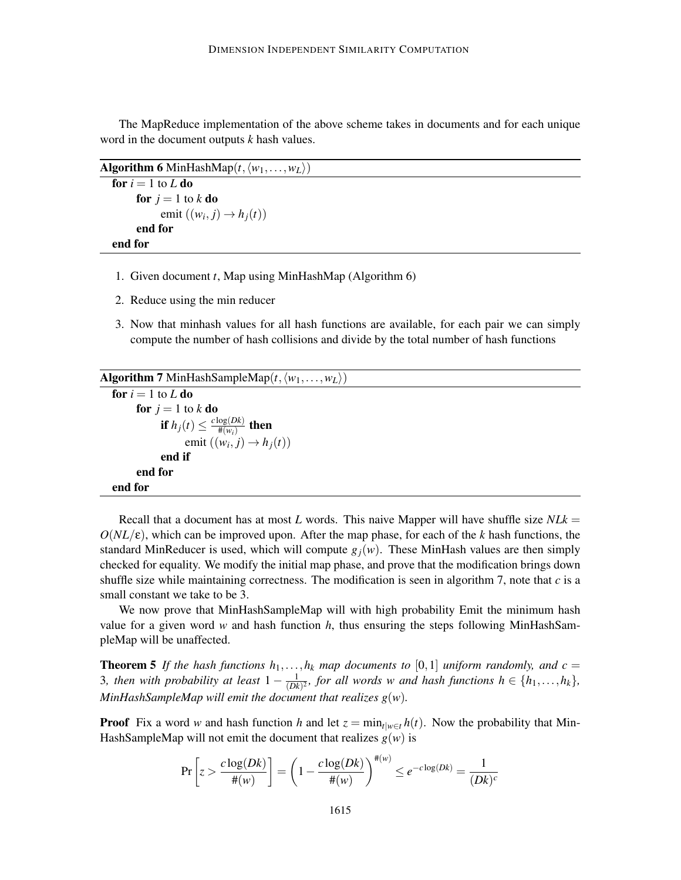The MapReduce implementation of the above scheme takes in documents and for each unique word in the document outputs *k* hash values.

Algorithm 6 MinHashMap $(t, \langle w_1, \ldots, w_L \rangle)$ 

```
for i = 1 to L do
     for j = 1 to k do
            emit ((w_i, j) \rightarrow h_j(t))end for
end for
```
- 1. Given document *t*, Map using MinHashMap (Algorithm 6)
- 2. Reduce using the min reducer
- 3. Now that minhash values for all hash functions are available, for each pair we can simply compute the number of hash collisions and divide by the total number of hash functions

```
Algorithm 7 MinHashSampleMap(t, \langle w_1, \ldots, w_L \rangle)for i = 1 to L do
          for j = 1 to k do
                  if h_j(t) \leq \frac{c \log(Dk)}{\#(w_i)}\frac{\log(DK)}{\#(w_i)} then
                         emit ((w_i, j) \rightarrow h_j(t))end if
          end for
   end for
```
Recall that a document has at most *L* words. This naive Mapper will have shuffle size *NLk* =  $O(NL/\epsilon)$ , which can be improved upon. After the map phase, for each of the *k* hash functions, the standard MinReducer is used, which will compute  $g_j(w)$ . These MinHash values are then simply checked for equality. We modify the initial map phase, and prove that the modification brings down shuffle size while maintaining correctness. The modification is seen in algorithm 7, note that *c* is a small constant we take to be 3.

We now prove that MinHashSampleMap will with high probability Emit the minimum hash value for a given word *w* and hash function *h*, thus ensuring the steps following MinHashSampleMap will be unaffected.

**Theorem 5** If the hash functions  $h_1, \ldots, h_k$  map documents to [0,1] uniform randomly, and  $c =$ 3, then with probability at least  $1 - \frac{1}{(Dk)}$  $\frac{1}{(Dk)^2}$ *, for all words w and hash functions h*  $\in$  { $h_1, \ldots, h_k$ }*, MinHashSampleMap will emit the document that realizes g*(*w*)*.*

**Proof** Fix a word *w* and hash function *h* and let  $z = \min_{t|w \in t} h(t)$ . Now the probability that Min-HashSampleMap will not emit the document that realizes  $g(w)$  is

$$
\Pr\left[z > \frac{c\log(Dk)}{\#(w)}\right] = \left(1 - \frac{c\log(Dk)}{\#(w)}\right)^{\#(w)} \le e^{-c\log(Dk)} = \frac{1}{(Dk)^c}
$$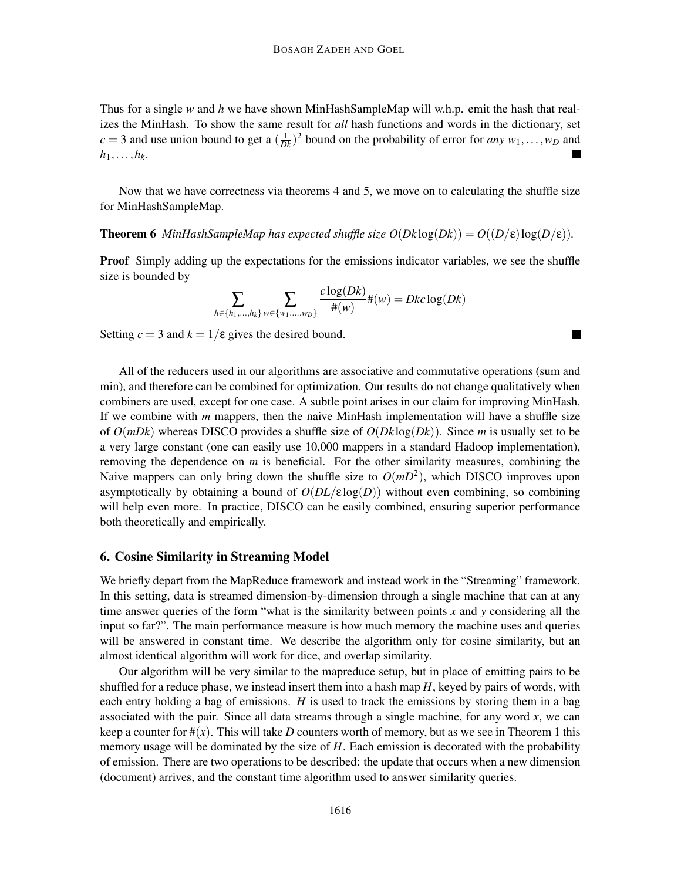Thus for a single *w* and *h* we have shown MinHashSampleMap will w.h.p. emit the hash that realizes the MinHash. To show the same result for *all* hash functions and words in the dictionary, set  $c = 3$  and use union bound to get a  $(\frac{1}{Dk})^2$  bound on the probability of error for *any*  $w_1, \ldots, w_D$  and  $h_1, \ldots, h_k$ .

Now that we have correctness via theorems 4 and 5, we move on to calculating the shuffle size for MinHashSampleMap.

## **Theorem 6** *MinHashSampleMap has expected shuffle size*  $O(Dk \log(Dk)) = O((D/\epsilon) \log(D/\epsilon))$ *.*

**Proof** Simply adding up the expectations for the emissions indicator variables, we see the shuffle size is bounded by

$$
\sum_{h \in \{h_1, \dots, h_k\}} \sum_{w \in \{w_1, \dots, w_D\}} \frac{c \log(Dk)}{\#(w)} \#(w) = Dkc \log(Dk)
$$

۰

Setting  $c = 3$  and  $k = 1/\varepsilon$  gives the desired bound.

All of the reducers used in our algorithms are associative and commutative operations (sum and min), and therefore can be combined for optimization. Our results do not change qualitatively when combiners are used, except for one case. A subtle point arises in our claim for improving MinHash. If we combine with *m* mappers, then the naive MinHash implementation will have a shuffle size of *O*(*mDk*) whereas DISCO provides a shuffle size of *O*(*Dk* log(*Dk*)). Since *m* is usually set to be a very large constant (one can easily use 10,000 mappers in a standard Hadoop implementation), removing the dependence on *m* is beneficial. For the other similarity measures, combining the Naive mappers can only bring down the shuffle size to  $O(mD^2)$ , which DISCO improves upon asymptotically by obtaining a bound of  $O(DL/\epsilon \log(D))$  without even combining, so combining will help even more. In practice, DISCO can be easily combined, ensuring superior performance both theoretically and empirically.

#### 6. Cosine Similarity in Streaming Model

We briefly depart from the MapReduce framework and instead work in the "Streaming" framework. In this setting, data is streamed dimension-by-dimension through a single machine that can at any time answer queries of the form "what is the similarity between points *x* and *y* considering all the input so far?". The main performance measure is how much memory the machine uses and queries will be answered in constant time. We describe the algorithm only for cosine similarity, but an almost identical algorithm will work for dice, and overlap similarity.

Our algorithm will be very similar to the mapreduce setup, but in place of emitting pairs to be shuffled for a reduce phase, we instead insert them into a hash map  $H$ , keyed by pairs of words, with each entry holding a bag of emissions. *H* is used to track the emissions by storing them in a bag associated with the pair. Since all data streams through a single machine, for any word *x*, we can keep a counter for  $\#(x)$ . This will take *D* counters worth of memory, but as we see in Theorem 1 this memory usage will be dominated by the size of *H*. Each emission is decorated with the probability of emission. There are two operations to be described: the update that occurs when a new dimension (document) arrives, and the constant time algorithm used to answer similarity queries.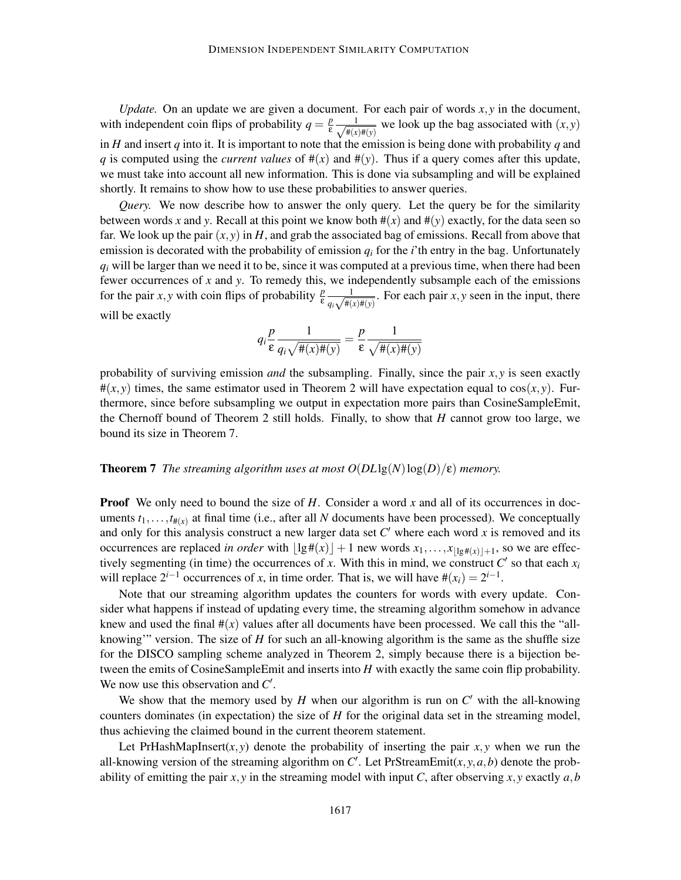*Update.* On an update we are given a document. For each pair of words *x*, *y* in the document, with independent coin flips of probability  $q = \frac{p}{s}$  $\frac{p}{\epsilon} \frac{1}{\sqrt{\frac{4}{r}}}$  $\frac{1}{\#(x)\#(y)}$  we look up the bag associated with  $(x, y)$ in *H* and insert *q* into it. It is important to note that the emission is being done with probability *q* and *q* is computed using the *current values* of  $#(x)$  and  $#(y)$ . Thus if a query comes after this update, we must take into account all new information. This is done via subsampling and will be explained shortly. It remains to show how to use these probabilities to answer queries.

*Query.* We now describe how to answer the only query. Let the query be for the similarity between words x and y. Recall at this point we know both  $\#(x)$  and  $\#(y)$  exactly, for the data seen so far. We look up the pair  $(x, y)$  in *H*, and grab the associated bag of emissions. Recall from above that emission is decorated with the probability of emission  $q_i$  for the *i*'th entry in the bag. Unfortunately  $q_i$  will be larger than we need it to be, since it was computed at a previous time, when there had been fewer occurrences of *x* and *y*. To remedy this, we independently subsample each of the emissions for the pair *x*, *y* with coin flips of probability  $\frac{p}{\epsilon} \frac{1}{a_1 \sqrt{\frac{\mu}{r}}$  $\frac{1}{q_i \sqrt{\#(x) \#(y)}}$ . For each pair *x*, *y* seen in the input, there will be exactly

$$
q_i \frac{p}{\varepsilon} \frac{1}{q_i \sqrt{\pi(x) \pi(y)}} = \frac{p}{\varepsilon} \frac{1}{\sqrt{\pi(x) \pi(y)}}
$$

probability of surviving emission *and* the subsampling. Finally, since the pair  $x, y$  is seen exactly  $\#(x, y)$  times, the same estimator used in Theorem 2 will have expectation equal to  $\cos(x, y)$ . Furthermore, since before subsampling we output in expectation more pairs than CosineSampleEmit, the Chernoff bound of Theorem 2 still holds. Finally, to show that *H* cannot grow too large, we bound its size in Theorem 7.

#### **Theorem 7** *The streaming algorithm uses at most*  $O(DL\lg(N)\log(D)/\epsilon)$  *memory.*

**Proof** We only need to bound the size of *H*. Consider a word *x* and all of its occurrences in documents  $t_1, \ldots, t_{\#(\chi)}$  at final time (i.e., after all *N* documents have been processed). We conceptually and only for this analysis construct a new larger data set *C* ′ where each word *x* is removed and its occurrences are replaced *in order* with  $\lfloor \lg \#(x) \rfloor + 1$  new words  $x_1, \ldots, x_{\lfloor \lg \#(x) \rfloor + 1}$ , so we are effectively segmenting (in time) the occurrences of *x*. With this in mind, we construct  $C'$  so that each  $x_i$ will replace  $2^{i-1}$  occurrences of *x*, in time order. That is, we will have  $\#(x_i) = 2^{i-1}$ .

Note that our streaming algorithm updates the counters for words with every update. Consider what happens if instead of updating every time, the streaming algorithm somehow in advance knew and used the final  $\#(x)$  values after all documents have been processed. We call this the "allknowing'" version. The size of *H* for such an all-knowing algorithm is the same as the shuffle size for the DISCO sampling scheme analyzed in Theorem 2, simply because there is a bijection between the emits of CosineSampleEmit and inserts into *H* with exactly the same coin flip probability. We now use this observation and C'.

We show that the memory used by  $H$  when our algorithm is run on  $C'$  with the all-knowing counters dominates (in expectation) the size of *H* for the original data set in the streaming model, thus achieving the claimed bound in the current theorem statement.

Let PrHashMapInsert(*x*, *y*) denote the probability of inserting the pair  $x, y$  when we run the all-knowing version of the streaming algorithm on  $C'$ . Let PrStreamEmit $(x, y, a, b)$  denote the probability of emitting the pair  $x, y$  in the streaming model with input C, after observing  $x, y$  exactly  $a, b$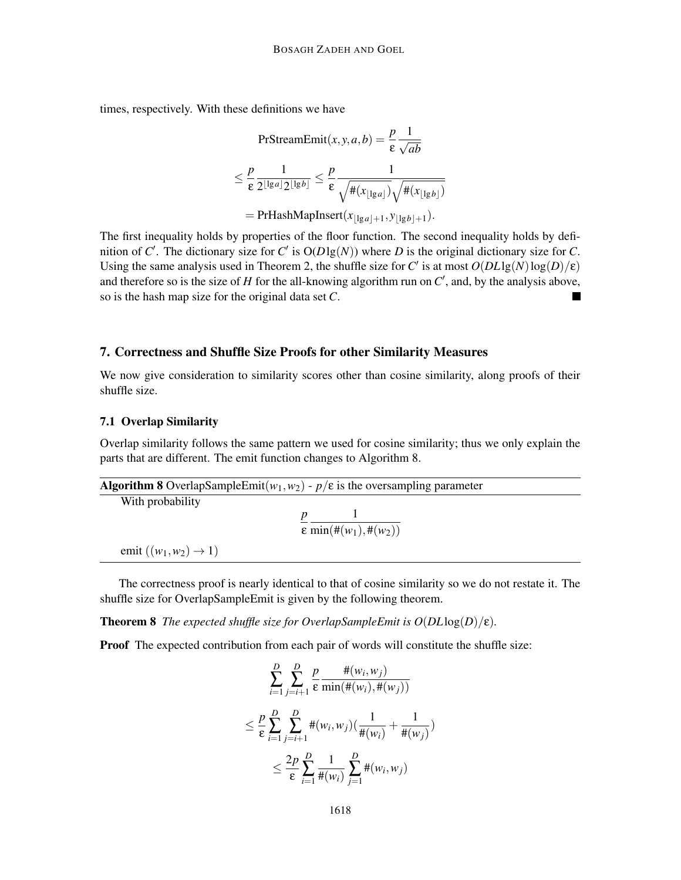times, respectively. With these definitions we have

$$
\begin{aligned} \text{PrStreamEmit}(x, y, a, b) &= \frac{p}{\varepsilon} \frac{1}{\sqrt{ab}} \\ &\le \frac{p}{\varepsilon} \frac{1}{2^{\lfloor \lg a \rfloor} 2^{\lfloor \lg b \rfloor}} \le \frac{p}{\varepsilon} \frac{1}{\sqrt{\#(x_{\lfloor \lg a \rfloor})} \sqrt{\#(x_{\lfloor \lg b \rfloor})}} \\ &= \text{PrHashMapInsert}(x_{\lfloor \lg a \rfloor + 1}, y_{\lfloor \lg b \rfloor + 1}). \end{aligned}
$$

The first inequality holds by properties of the floor function. The second inequality holds by definition of *C'*. The dictionary size for *C'* is  $O(D \lg(N))$  where *D* is the original dictionary size for *C*. Using the same analysis used in Theorem 2, the shuffle size for *C'* is at most  $O(DL\lg(N)\log(D)/\epsilon)$ and therefore so is the size of  $H$  for the all-knowing algorithm run on  $C'$ , and, by the analysis above, so is the hash map size for the original data set *C*.

## 7. Correctness and Shuffle Size Proofs for other Similarity Measures

We now give consideration to similarity scores other than cosine similarity, along proofs of their shuffle size.

## 7.1 Overlap Similarity

Overlap similarity follows the same pattern we used for cosine similarity; thus we only explain the parts that are different. The emit function changes to Algorithm 8.

|                                   | <b>Algorithm 8</b> OverlapSampleEmit( $w_1, w_2$ ) - $p/\epsilon$ is the oversampling parameter |  |
|-----------------------------------|-------------------------------------------------------------------------------------------------|--|
| With probability                  |                                                                                                 |  |
|                                   |                                                                                                 |  |
|                                   | $\epsilon \min(\#(w_1), \#(w_2))$                                                               |  |
| emit $((w_1, w_2) \rightarrow 1)$ |                                                                                                 |  |

The correctness proof is nearly identical to that of cosine similarity so we do not restate it. The shuffle size for OverlapSampleEmit is given by the following theorem.

**Theorem 8** *The expected shuffle size for OverlapSampleEmit is*  $O(DL \log(D)/\epsilon)$ *.* 

Proof The expected contribution from each pair of words will constitute the shuffle size:

$$
\sum_{i=1}^{D} \sum_{j=i+1}^{D} \frac{p}{\epsilon} \frac{\#(w_i, w_j)}{\min(\#(w_i), \#(w_j))}
$$
\n
$$
\leq \frac{p}{\epsilon} \sum_{i=1}^{D} \sum_{j=i+1}^{D} \#(w_i, w_j) \left(\frac{1}{\#(w_i)} + \frac{1}{\#(w_j)}\right)
$$
\n
$$
\leq \frac{2p}{\epsilon} \sum_{i=1}^{D} \frac{1}{\#(w_i)} \sum_{j=1}^{D} \#(w_i, w_j)
$$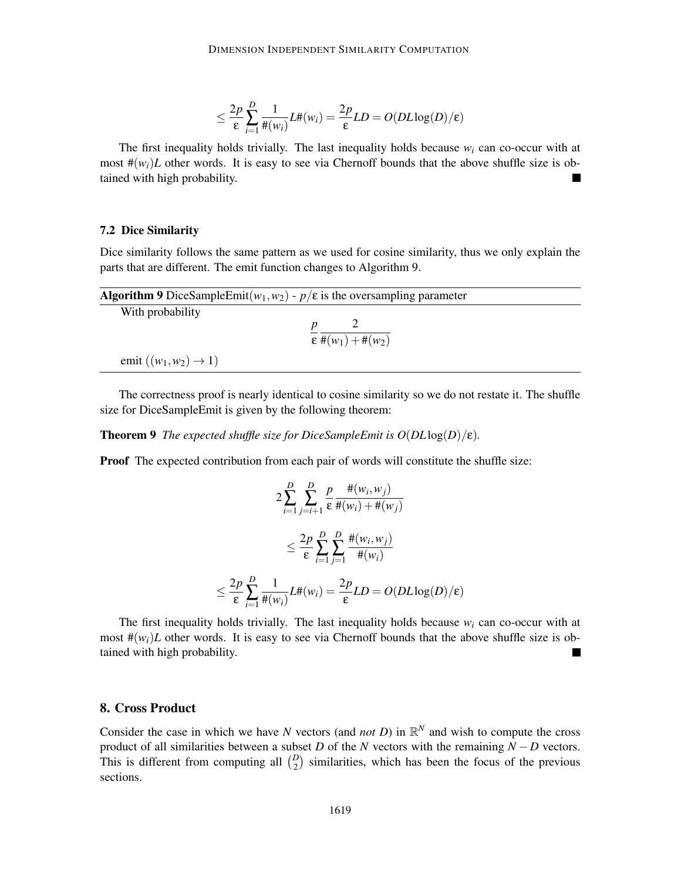$$
\leq \frac{2p}{\varepsilon} \sum_{i=1}^{D} \frac{1}{\#(w_i)} L\#(w_i) = \frac{2p}{\varepsilon} LD = O(DL \log(D)/\varepsilon)
$$

The first inequality holds trivially. The last inequality holds because  $w_i$  can co-occur with at most  $\#(w_i)L$  other words. It is easy to see via Chernoff bounds that the above shuffle size is obtained with high probability.

### 7.2 Dice Similarity

Dice similarity follows the same pattern as we used for cosine similarity, thus we only explain the parts that are different. The emit function changes to Algorithm 9.

| <b>Algorithm 9</b> DiceSampleEmit( $w_1, w_2$ ) - $p/\varepsilon$ is the oversampling parameter |                                                    |  |  |  |
|-------------------------------------------------------------------------------------------------|----------------------------------------------------|--|--|--|
| With probability                                                                                |                                                    |  |  |  |
|                                                                                                 |                                                    |  |  |  |
|                                                                                                 | $\epsilon$ #(w <sub>1</sub> ) + #(w <sub>2</sub> ) |  |  |  |
| emit $((w_1, w_2) \rightarrow 1)$                                                               |                                                    |  |  |  |

The correctness proof is nearly identical to cosine similarity so we do not restate it. The shuffle size for DiceSampleEmit is given by the following theorem:

**Theorem 9** *The expected shuffle size for DiceSampleEmit is*  $O(DL \log(D)/\epsilon)$ *.* 

Proof The expected contribution from each pair of words will constitute the shuffle size:

$$
2\sum_{i=1}^{D} \sum_{j=i+1}^{D} \frac{p}{\varepsilon} \frac{\#(w_i, w_j)}{\#(w_i) + \#(w_j)}
$$
  

$$
\leq \frac{2p}{\varepsilon} \sum_{i=1}^{D} \sum_{j=1}^{D} \frac{\#(w_i, w_j)}{\#(w_i)}
$$
  

$$
\leq \frac{2p}{\varepsilon} \sum_{i=1}^{D} \frac{1}{\#(w_i)} L\#(w_i) = \frac{2p}{\varepsilon} LD = O(DL \log(D)/\varepsilon)
$$

The first inequality holds trivially. The last inequality holds because  $w_i$  can co-occur with at most  $\#(w_i)L$  other words. It is easy to see via Chernoff bounds that the above shuffle size is obtained with high probability. **I** 

## 8. Cross Product

Consider the case in which we have *N* vectors (and *not D*) in  $\mathbb{R}^N$  and wish to compute the cross product of all similarities between a subset *D* of the *N* vectors with the remaining *N* − *D* vectors. This is different from computing all  $\binom{D}{2}$  similarities, which has been the focus of the previous sections.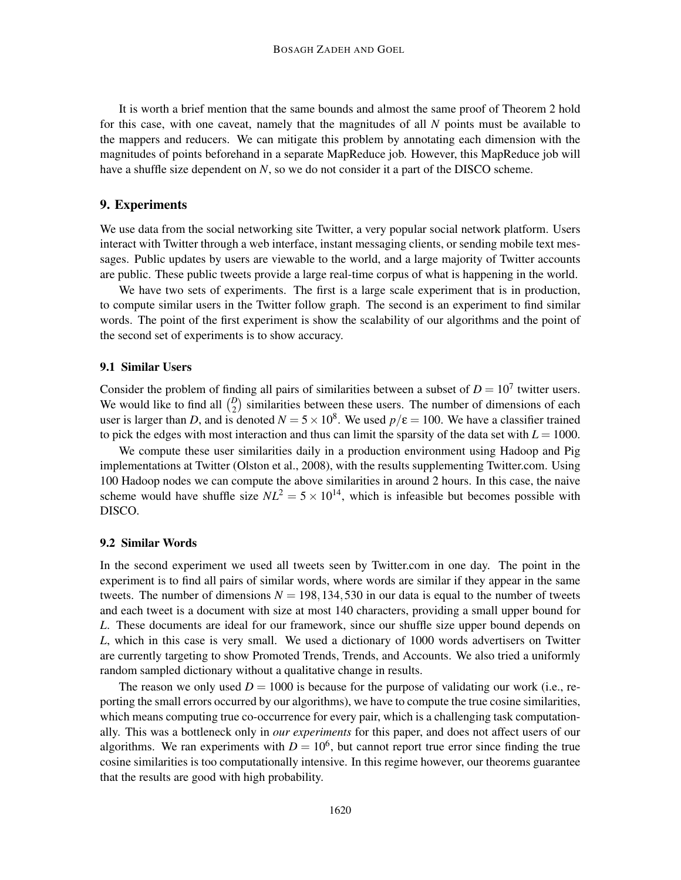It is worth a brief mention that the same bounds and almost the same proof of Theorem 2 hold for this case, with one caveat, namely that the magnitudes of all *N* points must be available to the mappers and reducers. We can mitigate this problem by annotating each dimension with the magnitudes of points beforehand in a separate MapReduce job. However, this MapReduce job will have a shuffle size dependent on *N*, so we do not consider it a part of the DISCO scheme.

## 9. Experiments

We use data from the social networking site Twitter, a very popular social network platform. Users interact with Twitter through a web interface, instant messaging clients, or sending mobile text messages. Public updates by users are viewable to the world, and a large majority of Twitter accounts are public. These public tweets provide a large real-time corpus of what is happening in the world.

We have two sets of experiments. The first is a large scale experiment that is in production, to compute similar users in the Twitter follow graph. The second is an experiment to find similar words. The point of the first experiment is show the scalability of our algorithms and the point of the second set of experiments is to show accuracy.

## 9.1 Similar Users

Consider the problem of finding all pairs of similarities between a subset of  $D = 10<sup>7</sup>$  twitter users. We would like to find all  $\binom{D}{2}$  similarities between these users. The number of dimensions of each user is larger than *D*, and is denoted  $N = 5 \times 10^8$ . We used  $p/\varepsilon = 100$ . We have a classifier trained to pick the edges with most interaction and thus can limit the sparsity of the data set with  $L = 1000$ .

We compute these user similarities daily in a production environment using Hadoop and Pig implementations at Twitter (Olston et al., 2008), with the results supplementing Twitter.com. Using 100 Hadoop nodes we can compute the above similarities in around 2 hours. In this case, the naive scheme would have shuffle size  $NL^2 = 5 \times 10^{14}$ , which is infeasible but becomes possible with DISCO.

#### 9.2 Similar Words

In the second experiment we used all tweets seen by Twitter.com in one day. The point in the experiment is to find all pairs of similar words, where words are similar if they appear in the same tweets. The number of dimensions  $N = 198, 134, 530$  in our data is equal to the number of tweets and each tweet is a document with size at most 140 characters, providing a small upper bound for *L*. These documents are ideal for our framework, since our shuffle size upper bound depends on *L*, which in this case is very small. We used a dictionary of 1000 words advertisers on Twitter are currently targeting to show Promoted Trends, Trends, and Accounts. We also tried a uniformly random sampled dictionary without a qualitative change in results.

The reason we only used  $D = 1000$  is because for the purpose of validating our work (i.e., reporting the small errors occurred by our algorithms), we have to compute the true cosine similarities, which means computing true co-occurrence for every pair, which is a challenging task computationally. This was a bottleneck only in *our experiments* for this paper, and does not affect users of our algorithms. We ran experiments with  $D = 10<sup>6</sup>$ , but cannot report true error since finding the true cosine similarities is too computationally intensive. In this regime however, our theorems guarantee that the results are good with high probability.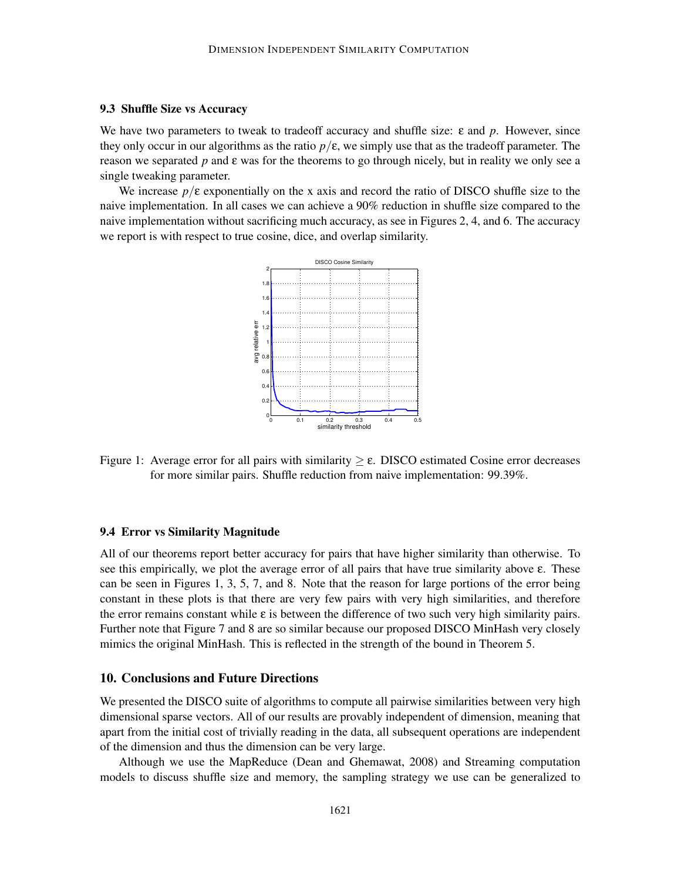## 9.3 Shuffle Size vs Accuracy

We have two parameters to tweak to tradeoff accuracy and shuffle size: ε and *p*. However, since they only occur in our algorithms as the ratio  $p/\varepsilon$ , we simply use that as the tradeoff parameter. The reason we separated *p* and ε was for the theorems to go through nicely, but in reality we only see a single tweaking parameter.

We increase *p*/ε exponentially on the x axis and record the ratio of DISCO shuffle size to the naive implementation. In all cases we can achieve a 90% reduction in shuffle size compared to the naive implementation without sacrificing much accuracy, as see in Figures 2, 4, and 6. The accuracy we report is with respect to true cosine, dice, and overlap similarity.



Figure 1: Average error for all pairs with similarity  $\geq \varepsilon$ . DISCO estimated Cosine error decreases for more similar pairs. Shuffle reduction from naive implementation: 99.39%.

## 9.4 Error vs Similarity Magnitude

All of our theorems report better accuracy for pairs that have higher similarity than otherwise. To see this empirically, we plot the average error of all pairs that have true similarity above ε. These can be seen in Figures 1, 3, 5, 7, and 8. Note that the reason for large portions of the error being constant in these plots is that there are very few pairs with very high similarities, and therefore the error remains constant while  $\varepsilon$  is between the difference of two such very high similarity pairs. Further note that Figure 7 and 8 are so similar because our proposed DISCO MinHash very closely mimics the original MinHash. This is reflected in the strength of the bound in Theorem 5.

## 10. Conclusions and Future Directions

We presented the DISCO suite of algorithms to compute all pairwise similarities between very high dimensional sparse vectors. All of our results are provably independent of dimension, meaning that apart from the initial cost of trivially reading in the data, all subsequent operations are independent of the dimension and thus the dimension can be very large.

Although we use the MapReduce (Dean and Ghemawat, 2008) and Streaming computation models to discuss shuffle size and memory, the sampling strategy we use can be generalized to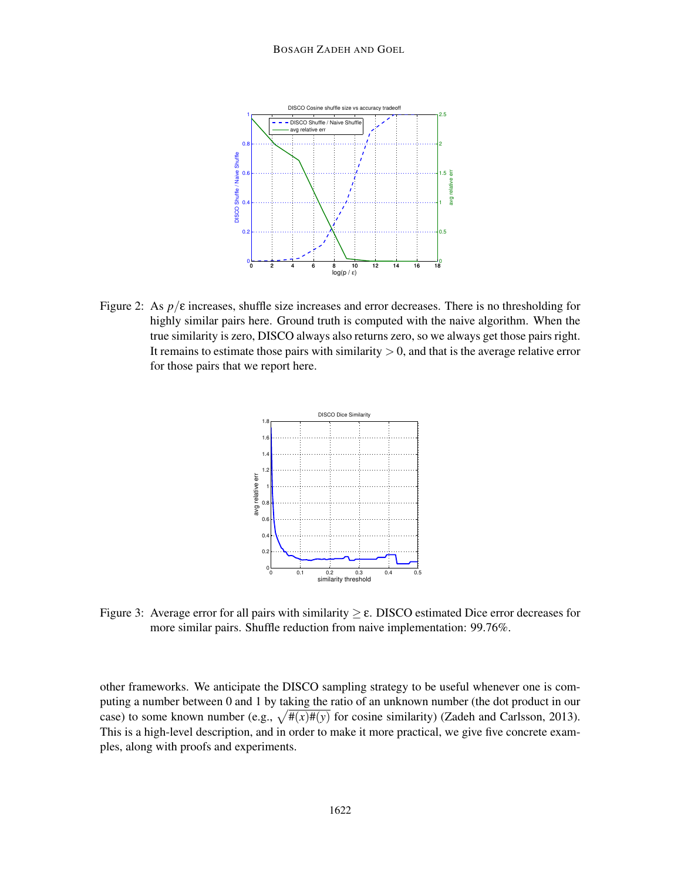

Figure 2: As  $p/\varepsilon$  increases, shuffle size increases and error decreases. There is no thresholding for highly similar pairs here. Ground truth is computed with the naive algorithm. When the true similarity is zero, DISCO always also returns zero, so we always get those pairs right. It remains to estimate those pairs with similarity  $> 0$ , and that is the average relative error for those pairs that we report here.



Figure 3: Average error for all pairs with similarity  $\geq \varepsilon$ . DISCO estimated Dice error decreases for more similar pairs. Shuffle reduction from naive implementation: 99.76%.

other frameworks. We anticipate the DISCO sampling strategy to be useful whenever one is computing a number between 0 and 1 by taking the ratio of an unknown number (the dot product in our case) to some known number (e.g.,  $\sqrt{\frac{\#(x)\#(y)}{\#(x)}}$  for cosine similarity) (Zadeh and Carlsson, 2013). This is a high-level description, and in order to make it more practical, we give five concrete examples, along with proofs and experiments.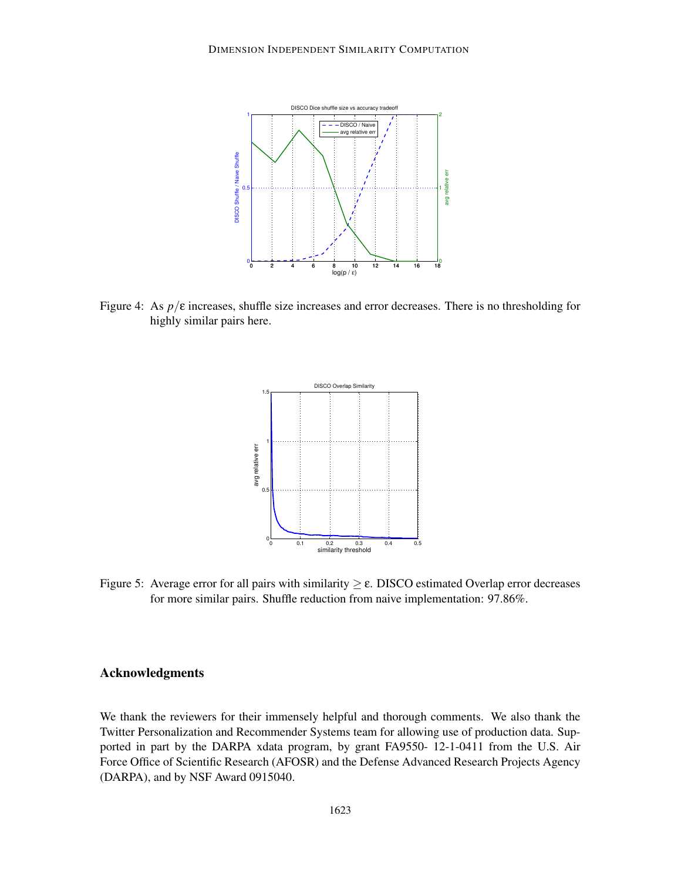

Figure 4: As  $p/\varepsilon$  increases, shuffle size increases and error decreases. There is no thresholding for highly similar pairs here.



Figure 5: Average error for all pairs with similarity  $\geq \varepsilon$ . DISCO estimated Overlap error decreases for more similar pairs. Shuffle reduction from naive implementation: 97.86%.

## Acknowledgments

We thank the reviewers for their immensely helpful and thorough comments. We also thank the Twitter Personalization and Recommender Systems team for allowing use of production data. Supported in part by the DARPA xdata program, by grant FA9550- 12-1-0411 from the U.S. Air Force Office of Scientific Research (AFOSR) and the Defense Advanced Research Projects Agency (DARPA), and by NSF Award 0915040.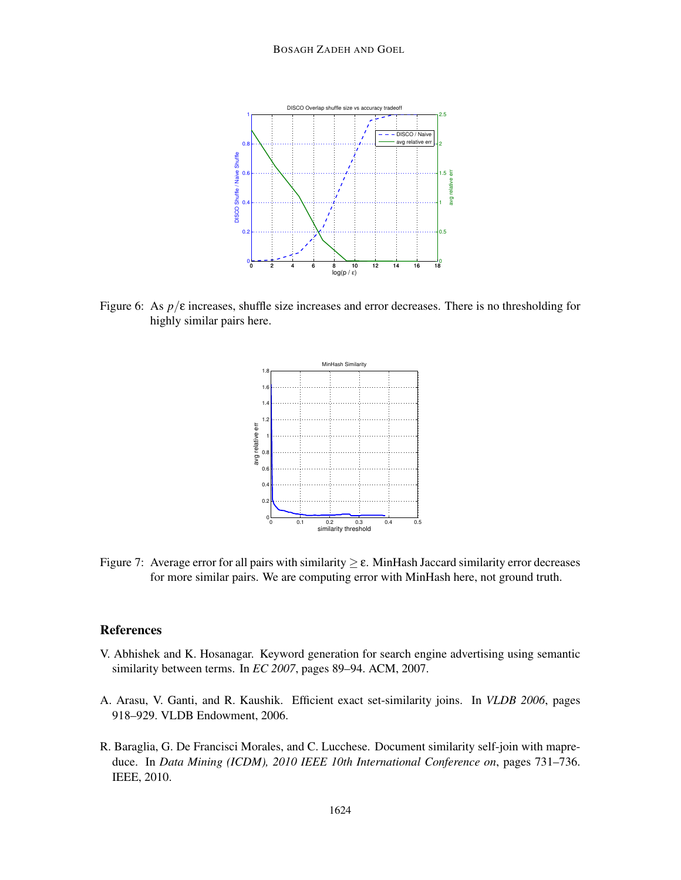

Figure 6: As  $p/\varepsilon$  increases, shuffle size increases and error decreases. There is no thresholding for highly similar pairs here.



Figure 7: Average error for all pairs with similarity  $\geq \varepsilon$ . MinHash Jaccard similarity error decreases for more similar pairs. We are computing error with MinHash here, not ground truth.

## References

- V. Abhishek and K. Hosanagar. Keyword generation for search engine advertising using semantic similarity between terms. In *EC 2007*, pages 89–94. ACM, 2007.
- A. Arasu, V. Ganti, and R. Kaushik. Efficient exact set-similarity joins. In *VLDB 2006*, pages 918–929. VLDB Endowment, 2006.
- R. Baraglia, G. De Francisci Morales, and C. Lucchese. Document similarity self-join with mapreduce. In *Data Mining (ICDM), 2010 IEEE 10th International Conference on*, pages 731–736. IEEE, 2010.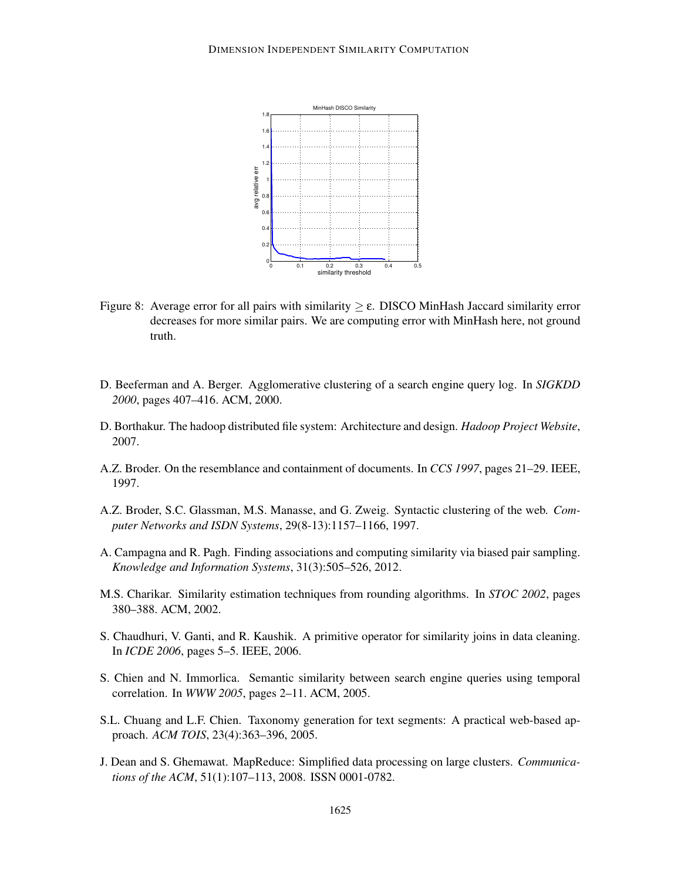

- Figure 8: Average error for all pairs with similarity  $\geq \varepsilon$ . DISCO MinHash Jaccard similarity error decreases for more similar pairs. We are computing error with MinHash here, not ground truth.
- D. Beeferman and A. Berger. Agglomerative clustering of a search engine query log. In *SIGKDD 2000*, pages 407–416. ACM, 2000.
- D. Borthakur. The hadoop distributed file system: Architecture and design. *Hadoop Project Website*, 2007.
- A.Z. Broder. On the resemblance and containment of documents. In *CCS 1997*, pages 21–29. IEEE, 1997.
- A.Z. Broder, S.C. Glassman, M.S. Manasse, and G. Zweig. Syntactic clustering of the web. *Computer Networks and ISDN Systems*, 29(8-13):1157–1166, 1997.
- A. Campagna and R. Pagh. Finding associations and computing similarity via biased pair sampling. *Knowledge and Information Systems*, 31(3):505–526, 2012.
- M.S. Charikar. Similarity estimation techniques from rounding algorithms. In *STOC 2002*, pages 380–388. ACM, 2002.
- S. Chaudhuri, V. Ganti, and R. Kaushik. A primitive operator for similarity joins in data cleaning. In *ICDE 2006*, pages 5–5. IEEE, 2006.
- S. Chien and N. Immorlica. Semantic similarity between search engine queries using temporal correlation. In *WWW 2005*, pages 2–11. ACM, 2005.
- S.L. Chuang and L.F. Chien. Taxonomy generation for text segments: A practical web-based approach. *ACM TOIS*, 23(4):363–396, 2005.
- J. Dean and S. Ghemawat. MapReduce: Simplified data processing on large clusters. *Communications of the ACM*, 51(1):107–113, 2008. ISSN 0001-0782.